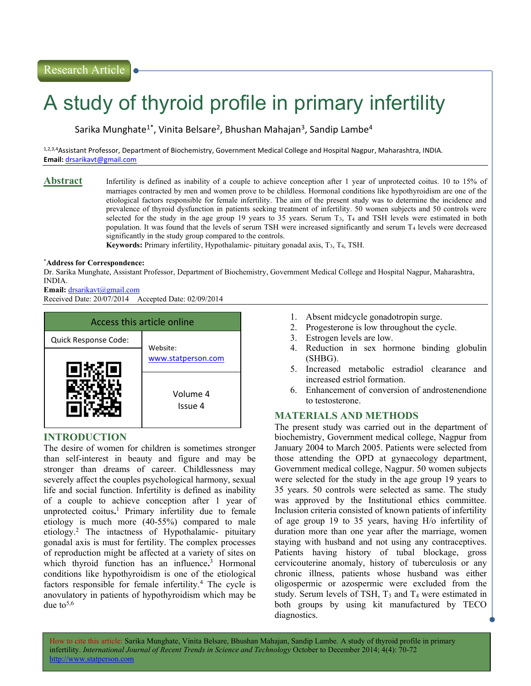# A study of thyroid profile in primary infertility

Sarika Munghate<sup>1\*</sup>, Vinita Belsare<sup>2</sup>, Bhushan Mahajan<sup>3</sup>, Sandip Lambe<sup>4</sup>

1,2,3,4Assistant Professor, Department of Biochemistry, Government Medical College and Hospital Nagpur, Maharashtra, INDIA. Email: drsarikavt@gmail.com

Abstract Infertility is defined as inability of a couple to achieve conception after 1 year of unprotected coitus. 10 to 15% of marriages contracted by men and women prove to be childless. Hormonal conditions like hypothyroidism are one of the etiological factors responsible for female infertility. The aim of the present study was to determine the incidence and prevalence of thyroid dysfunction in patients seeking treatment of infertility. 50 women subjects and 50 controls were selected for the study in the age group 19 years to 35 years. Serum T3, T4 and TSH levels were estimated in both population. It was found that the levels of serum TSH were increased significantly and serum T4 levels were decreased significantly in the study group compared to the controls.

Keywords: Primary infertility, Hypothalamic- pituitary gonadal axis,  $T_3$ ,  $T_4$ , TSH.

### \*Address for Correspondence:

Dr. Sarika Munghate, Assistant Professor, Department of Biochemistry, Government Medical College and Hospital Nagpur, Maharashtra, INDIA.

Email: drsarikavt@gmail.com

Received Date: 20/07/2014 Accepted Date: 02/09/2014



## INTRODUCTION

The desire of women for children is sometimes stronger than self-interest in beauty and figure and may be stronger than dreams of career. Childlessness may severely affect the couples psychological harmony, sexual life and social function. Infertility is defined as inability of a couple to achieve conception after 1 year of unprotected coitus. <sup>1</sup> Primary infertility due to female etiology is much more (40-55%) compared to male etiology.<sup>2</sup> The intactness of Hypothalamic- pituitary gonadal axis is must for fertility. The complex processes of reproduction might be affected at a variety of sites on which thyroid function has an influence. <sup>3</sup> Hormonal conditions like hypothyroidism is one of the etiological factors responsible for female infertility.<sup>4</sup> The cycle is anovulatory in patients of hypothyroidism which may be due to  $5,6$ 

- 1. Absent midcycle gonadotropin surge.
- 2. Progesterone is low throughout the cycle.
- 3. Estrogen levels are low.
- 4. Reduction in sex hormone binding globulin (SHBG).
- 5. Increased metabolic estradiol clearance and increased estriol formation.
- 6. Enhancement of conversion of androstenendione to testosterone.

## MATERIALS AND METHODS

The present study was carried out in the department of biochemistry, Government medical college, Nagpur from January 2004 to March 2005. Patients were selected from those attending the OPD at gynaecology department, Government medical college, Nagpur. 50 women subjects were selected for the study in the age group 19 years to 35 years. 50 controls were selected as same. The study was approved by the Institutional ethics committee. Inclusion criteria consisted of known patients of infertility of age group 19 to 35 years, having H/o infertility of duration more than one year after the marriage, women staying with husband and not using any contraceptives. Patients having history of tubal blockage, gross cervicouterine anomaly, history of tuberculosis or any chronic illness, patients whose husband was either oligospermic or azospermic were excluded from the study. Serum levels of TSH,  $T_3$  and  $T_4$  were estimated in both groups by using kit manufactured by TECO diagnostics.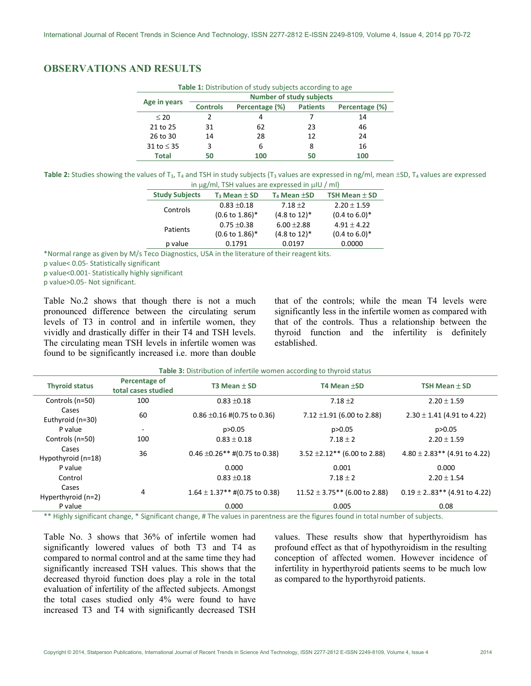# OBSERVATIONS AND RESULTS

| <b>Table 1:</b> Distribution of study subjects according to age |                                 |                |                 |                |  |  |  |
|-----------------------------------------------------------------|---------------------------------|----------------|-----------------|----------------|--|--|--|
| Age in years                                                    | <b>Number of study subjects</b> |                |                 |                |  |  |  |
|                                                                 | <b>Controls</b>                 | Percentage (%) | <b>Patients</b> | Percentage (%) |  |  |  |
| $\leq 20$                                                       |                                 | 4              |                 | 14             |  |  |  |
| 21 to 25                                                        | 31                              | 62             | 23              | 46             |  |  |  |
| 26 to 30                                                        | 14                              | 28             | 12              | 24             |  |  |  |
| 31 to $\leq$ 35                                                 | 3                               | 6              | 8               | 16             |  |  |  |
| Total                                                           |                                 | 100            |                 | 100            |  |  |  |

Table 2: Studies showing the values of T<sub>3</sub>, T<sub>4</sub> and TSH in study subjects (T<sub>3</sub> values are expressed in ng/ml, mean  $\pm$ SD, T<sub>4</sub> values are expressed in  $\mu$ g/ml, TSH values are expressed in  $\mu$ IU / ml)

| <b>,</b> , . <del>.</del>  |                          |                           |  |  |  |  |
|----------------------------|--------------------------|---------------------------|--|--|--|--|
| $T_3$ Mean $\pm$ SD        | $T_4$ Mean $\pm$ SD      | TSH Mean $\pm$ SD         |  |  |  |  |
| $0.83 + 0.18$              | $7.18 + 2$               | $2.20 \pm 1.59$           |  |  |  |  |
| $(0.6 \text{ to } 1.86)^*$ | $(4.8 \text{ to } 12)^*$ | $(0.4 \text{ to } 6.0)^*$ |  |  |  |  |
| $0.75 \pm 0.38$            | $6.00 + 2.88$            | $4.91 \pm 4.22$           |  |  |  |  |
| $(0.6 \text{ to } 1.86)^*$ | $(4.8 \text{ to } 12)^*$ | $(0.4 \text{ to } 6.0)^*$ |  |  |  |  |
| 0.1791                     | 0.0197                   | 0.0000                    |  |  |  |  |
|                            |                          |                           |  |  |  |  |

\*Normal range as given by M/s Teco Diagnostics, USA in the literature of their reagent kits.

p value< 0.05- Statistically significant

p value<0.001- Statistically highly significant

p value>0.05- Not significant.

Table No.2 shows that though there is not a much pronounced difference between the circulating serum levels of T3 in control and in infertile women, they vividly and drastically differ in their T4 and TSH levels. The circulating mean TSH levels in infertile women was found to be significantly increased i.e. more than double

that of the controls; while the mean T4 levels were significantly less in the infertile women as compared with that of the controls. Thus a relationship between the thyroid function and the infertility is definitely established.

| <b>Table 3:</b> Distribution of infertile women according to thyroid status |
|-----------------------------------------------------------------------------|
|-----------------------------------------------------------------------------|

| <b>Thyroid status</b>       | Percentage of<br>total cases studied | T3 Mean $\pm$ SD                   | T4 Mean ±SD                        | TSH Mean $\pm$ SD                  |
|-----------------------------|--------------------------------------|------------------------------------|------------------------------------|------------------------------------|
| Controls (n=50)             | 100                                  | $0.83 + 0.18$                      | 7.18 $\pm$ 2                       | $2.20 \pm 1.59$                    |
| Cases<br>Euthyroid (n=30)   | 60                                   | $0.86 \pm 0.16 \neq 0.75$ to 0.36) | 7.12 $\pm$ 1.91 (6.00 to 2.88)     | $2.30 \pm 1.41$ (4.91 to 4.22)     |
| P value                     | $\overline{\phantom{a}}$             | p > 0.05                           | p>0.05                             | p>0.05                             |
| Controls (n=50)             | 100                                  | $0.83 \pm 0.18$                    | $7.18 \pm 2$                       | $2.20 \pm 1.59$                    |
| Cases<br>Hypothyroid (n=18) | 36                                   | $0.46 \pm 0.26$ ** #(0.75 to 0.38) | $3.52 \pm 2.12**$ (6.00 to 2.88)   | $4.80 \pm 2.83$ ** (4.91 to 4.22)  |
| P value                     |                                      | 0.000                              | 0.001                              | 0.000                              |
| Control                     |                                      | $0.83 + 0.18$                      | $7.18 \pm 2$                       | $2.20 \pm 1.54$                    |
| Cases<br>Hyperthyroid (n=2) | 4                                    | $1.64 \pm 1.37$ ** #(0.75 to 0.38) | $11.52 \pm 3.75$ ** (6.00 to 2.88) | $0.19 \pm 2.083$ ** (4.91 to 4.22) |
| P value                     |                                      | 0.000                              | 0.005                              | 0.08                               |

\*\* Highly significant change, \* Significant change, # The values in parentness are the figures found in total number of subjects.

Table No. 3 shows that 36% of infertile women had significantly lowered values of both T3 and T4 as compared to normal control and at the same time they had significantly increased TSH values. This shows that the decreased thyroid function does play a role in the total evaluation of infertility of the affected subjects. Amongst the total cases studied only 4% were found to have increased T3 and T4 with significantly decreased TSH

values. These results show that hyperthyroidism has profound effect as that of hypothyroidism in the resulting conception of affected women. However incidence of infertility in hyperthyroid patients seems to be much low as compared to the hyporthyroid patients.